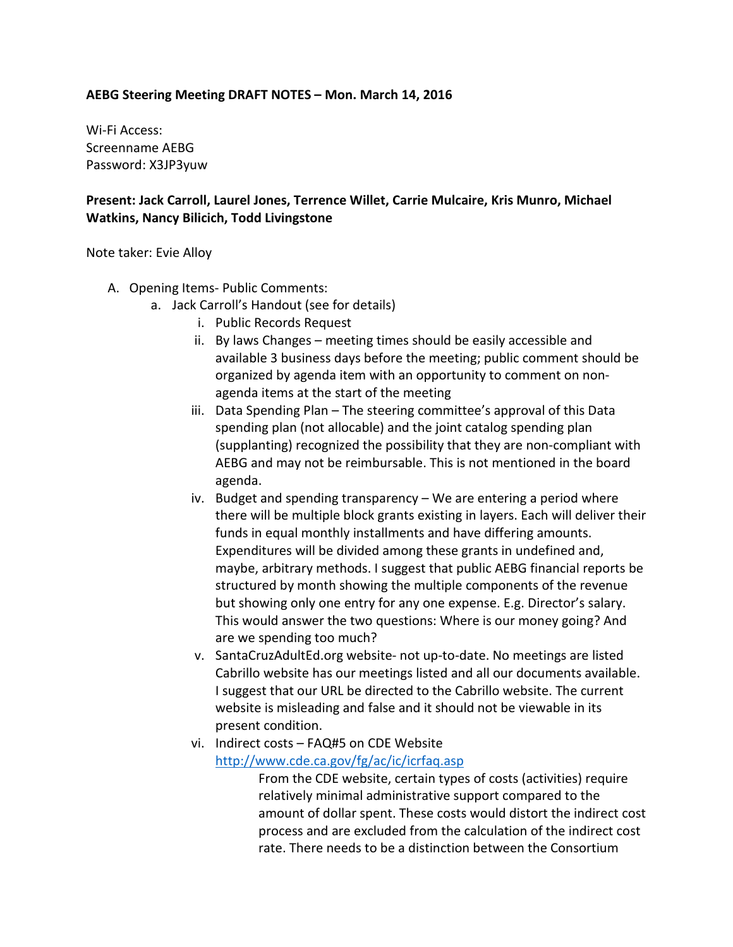## **AEBG Steering Meeting DRAFT NOTES – Mon. March 14, 2016**

Wi-Fi Access: Screenname AEBG Password: X3JP3yuw

# **Present: Jack Carroll, Laurel Jones, Terrence Willet, Carrie Mulcaire, Kris Munro, Michael Watkins, Nancy Bilicich, Todd Livingstone**

### Note taker: Evie Alloy

- A. Opening Items- Public Comments:
	- a. Jack Carroll's Handout (see for details)
		- i. Public Records Request
		- ii. By laws Changes meeting times should be easily accessible and available 3 business days before the meeting; public comment should be organized by agenda item with an opportunity to comment on nonagenda items at the start of the meeting
		- iii. Data Spending Plan The steering committee's approval of this Data spending plan (not allocable) and the joint catalog spending plan (supplanting) recognized the possibility that they are non-compliant with AEBG and may not be reimbursable. This is not mentioned in the board agenda.
		- iv. Budget and spending transparency We are entering a period where there will be multiple block grants existing in layers. Each will deliver their funds in equal monthly installments and have differing amounts. Expenditures will be divided among these grants in undefined and, maybe, arbitrary methods. I suggest that public AEBG financial reports be structured by month showing the multiple components of the revenue but showing only one entry for any one expense. E.g. Director's salary. This would answer the two questions: Where is our money going? And are we spending too much?
		- v. SantaCruzAdultEd.org website- not up-to-date. No meetings are listed Cabrillo website has our meetings listed and all our documents available. I suggest that our URL be directed to the Cabrillo website. The current website is misleading and false and it should not be viewable in its present condition.
		- vi. Indirect costs FAQ#5 on CDE Website <http://www.cde.ca.gov/fg/ac/ic/icrfaq.asp>

From the CDE website, certain types of costs (activities) require relatively minimal administrative support compared to the amount of dollar spent. These costs would distort the indirect cost process and are excluded from the calculation of the indirect cost rate. There needs to be a distinction between the Consortium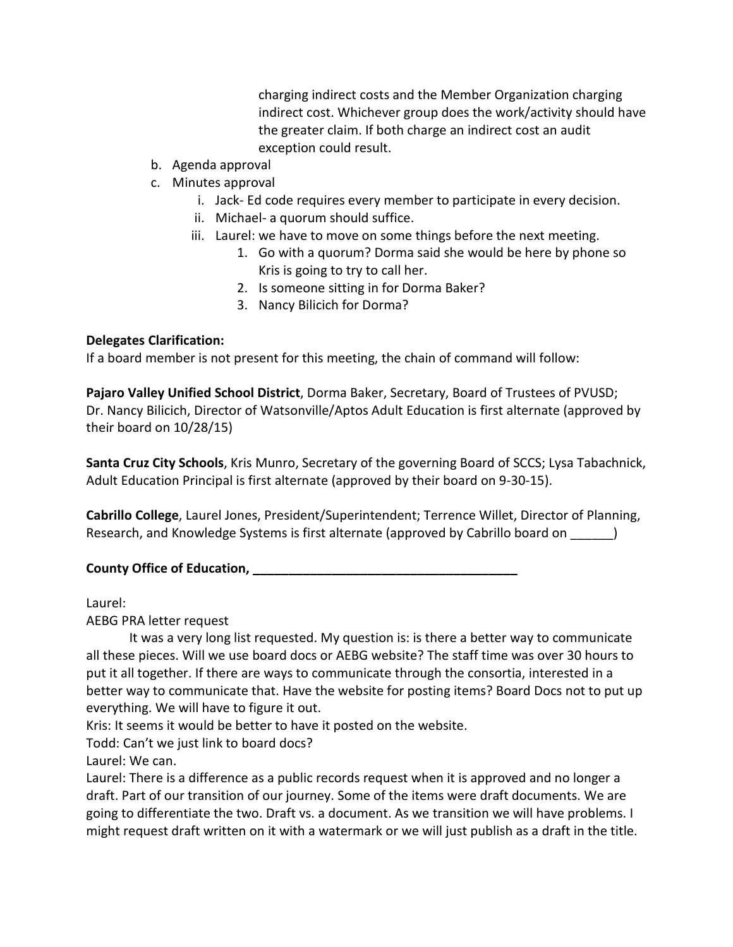charging indirect costs and the Member Organization charging indirect cost. Whichever group does the work/activity should have the greater claim. If both charge an indirect cost an audit exception could result.

- b. Agenda approval
- c. Minutes approval
	- i. Jack- Ed code requires every member to participate in every decision.
	- ii. Michael- a quorum should suffice.
	- iii. Laurel: we have to move on some things before the next meeting.
		- 1. Go with a quorum? Dorma said she would be here by phone so Kris is going to try to call her.
		- 2. Is someone sitting in for Dorma Baker?
		- 3. Nancy Bilicich for Dorma?

# **Delegates Clarification:**

If a board member is not present for this meeting, the chain of command will follow:

**Pajaro Valley Unified School District**, Dorma Baker, Secretary, Board of Trustees of PVUSD; Dr. Nancy Bilicich, Director of Watsonville/Aptos Adult Education is first alternate (approved by their board on 10/28/15)

**Santa Cruz City Schools**, Kris Munro, Secretary of the governing Board of SCCS; Lysa Tabachnick, Adult Education Principal is first alternate (approved by their board on 9-30-15).

**Cabrillo College**, Laurel Jones, President/Superintendent; Terrence Willet, Director of Planning, Research, and Knowledge Systems is first alternate (approved by Cabrillo board on  $\qquad \qquad$  )

# **County Office of Education, \_\_\_\_\_\_\_\_\_\_\_\_\_\_\_\_\_\_\_\_\_\_\_\_\_\_\_\_\_\_\_\_\_\_\_\_\_**

Laurel:

AEBG PRA letter request

It was a very long list requested. My question is: is there a better way to communicate all these pieces. Will we use board docs or AEBG website? The staff time was over 30 hours to put it all together. If there are ways to communicate through the consortia, interested in a better way to communicate that. Have the website for posting items? Board Docs not to put up everything. We will have to figure it out.

Kris: It seems it would be better to have it posted on the website.

Todd: Can't we just link to board docs?

Laurel: We can.

Laurel: There is a difference as a public records request when it is approved and no longer a draft. Part of our transition of our journey. Some of the items were draft documents. We are going to differentiate the two. Draft vs. a document. As we transition we will have problems. I might request draft written on it with a watermark or we will just publish as a draft in the title.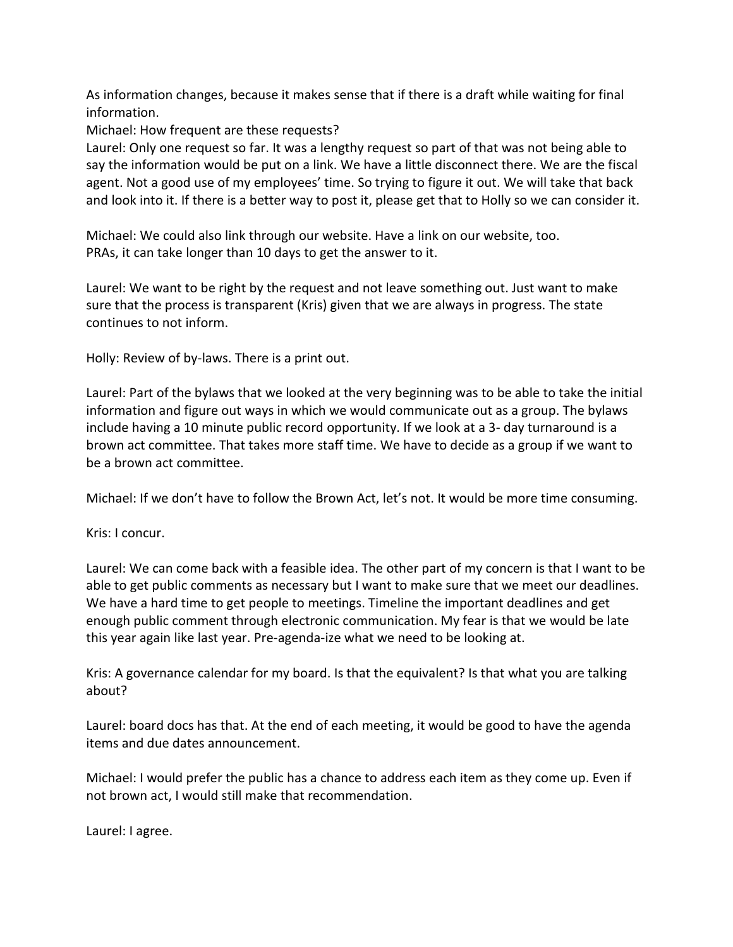As information changes, because it makes sense that if there is a draft while waiting for final information.

Michael: How frequent are these requests?

Laurel: Only one request so far. It was a lengthy request so part of that was not being able to say the information would be put on a link. We have a little disconnect there. We are the fiscal agent. Not a good use of my employees' time. So trying to figure it out. We will take that back and look into it. If there is a better way to post it, please get that to Holly so we can consider it.

Michael: We could also link through our website. Have a link on our website, too. PRAs, it can take longer than 10 days to get the answer to it.

Laurel: We want to be right by the request and not leave something out. Just want to make sure that the process is transparent (Kris) given that we are always in progress. The state continues to not inform.

Holly: Review of by-laws. There is a print out.

Laurel: Part of the bylaws that we looked at the very beginning was to be able to take the initial information and figure out ways in which we would communicate out as a group. The bylaws include having a 10 minute public record opportunity. If we look at a 3- day turnaround is a brown act committee. That takes more staff time. We have to decide as a group if we want to be a brown act committee.

Michael: If we don't have to follow the Brown Act, let's not. It would be more time consuming.

Kris: I concur.

Laurel: We can come back with a feasible idea. The other part of my concern is that I want to be able to get public comments as necessary but I want to make sure that we meet our deadlines. We have a hard time to get people to meetings. Timeline the important deadlines and get enough public comment through electronic communication. My fear is that we would be late this year again like last year. Pre-agenda-ize what we need to be looking at.

Kris: A governance calendar for my board. Is that the equivalent? Is that what you are talking about?

Laurel: board docs has that. At the end of each meeting, it would be good to have the agenda items and due dates announcement.

Michael: I would prefer the public has a chance to address each item as they come up. Even if not brown act, I would still make that recommendation.

Laurel: I agree.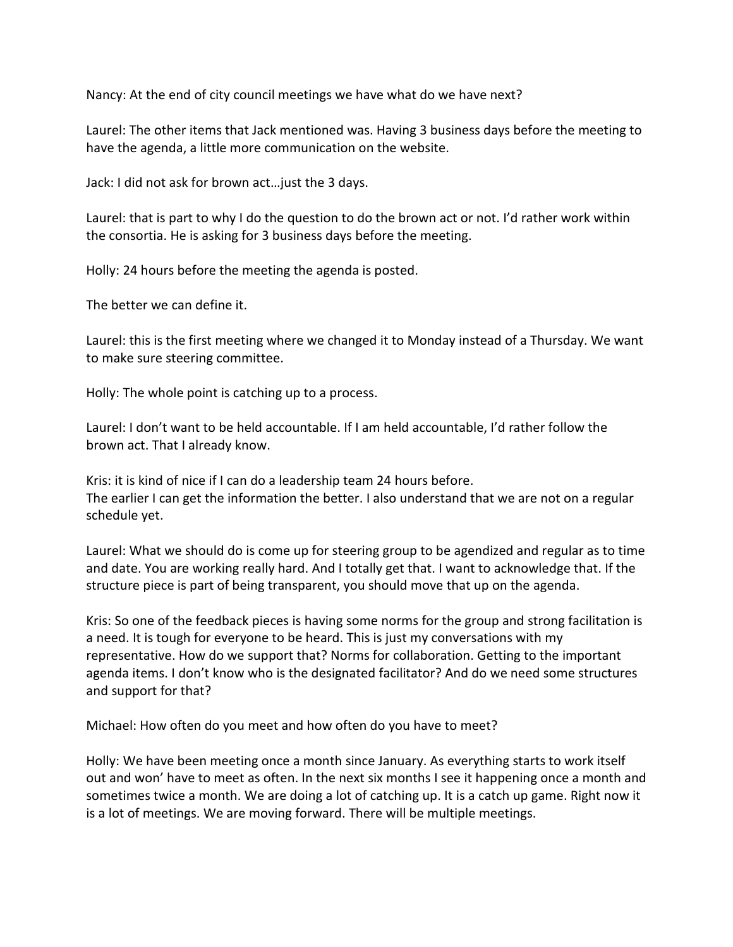Nancy: At the end of city council meetings we have what do we have next?

Laurel: The other items that Jack mentioned was. Having 3 business days before the meeting to have the agenda, a little more communication on the website.

Jack: I did not ask for brown act…just the 3 days.

Laurel: that is part to why I do the question to do the brown act or not. I'd rather work within the consortia. He is asking for 3 business days before the meeting.

Holly: 24 hours before the meeting the agenda is posted.

The better we can define it.

Laurel: this is the first meeting where we changed it to Monday instead of a Thursday. We want to make sure steering committee.

Holly: The whole point is catching up to a process.

Laurel: I don't want to be held accountable. If I am held accountable, I'd rather follow the brown act. That I already know.

Kris: it is kind of nice if I can do a leadership team 24 hours before. The earlier I can get the information the better. I also understand that we are not on a regular schedule yet.

Laurel: What we should do is come up for steering group to be agendized and regular as to time and date. You are working really hard. And I totally get that. I want to acknowledge that. If the structure piece is part of being transparent, you should move that up on the agenda.

Kris: So one of the feedback pieces is having some norms for the group and strong facilitation is a need. It is tough for everyone to be heard. This is just my conversations with my representative. How do we support that? Norms for collaboration. Getting to the important agenda items. I don't know who is the designated facilitator? And do we need some structures and support for that?

Michael: How often do you meet and how often do you have to meet?

Holly: We have been meeting once a month since January. As everything starts to work itself out and won' have to meet as often. In the next six months I see it happening once a month and sometimes twice a month. We are doing a lot of catching up. It is a catch up game. Right now it is a lot of meetings. We are moving forward. There will be multiple meetings.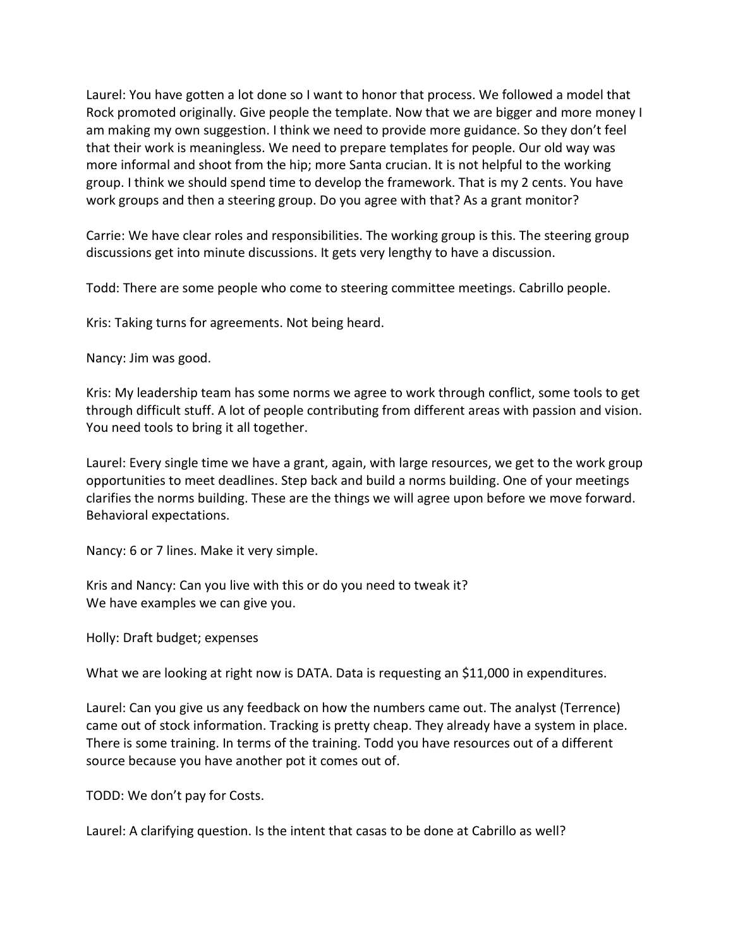Laurel: You have gotten a lot done so I want to honor that process. We followed a model that Rock promoted originally. Give people the template. Now that we are bigger and more money I am making my own suggestion. I think we need to provide more guidance. So they don't feel that their work is meaningless. We need to prepare templates for people. Our old way was more informal and shoot from the hip; more Santa crucian. It is not helpful to the working group. I think we should spend time to develop the framework. That is my 2 cents. You have work groups and then a steering group. Do you agree with that? As a grant monitor?

Carrie: We have clear roles and responsibilities. The working group is this. The steering group discussions get into minute discussions. It gets very lengthy to have a discussion.

Todd: There are some people who come to steering committee meetings. Cabrillo people.

Kris: Taking turns for agreements. Not being heard.

Nancy: Jim was good.

Kris: My leadership team has some norms we agree to work through conflict, some tools to get through difficult stuff. A lot of people contributing from different areas with passion and vision. You need tools to bring it all together.

Laurel: Every single time we have a grant, again, with large resources, we get to the work group opportunities to meet deadlines. Step back and build a norms building. One of your meetings clarifies the norms building. These are the things we will agree upon before we move forward. Behavioral expectations.

Nancy: 6 or 7 lines. Make it very simple.

Kris and Nancy: Can you live with this or do you need to tweak it? We have examples we can give you.

Holly: Draft budget; expenses

What we are looking at right now is DATA. Data is requesting an \$11,000 in expenditures.

Laurel: Can you give us any feedback on how the numbers came out. The analyst (Terrence) came out of stock information. Tracking is pretty cheap. They already have a system in place. There is some training. In terms of the training. Todd you have resources out of a different source because you have another pot it comes out of.

TODD: We don't pay for Costs.

Laurel: A clarifying question. Is the intent that casas to be done at Cabrillo as well?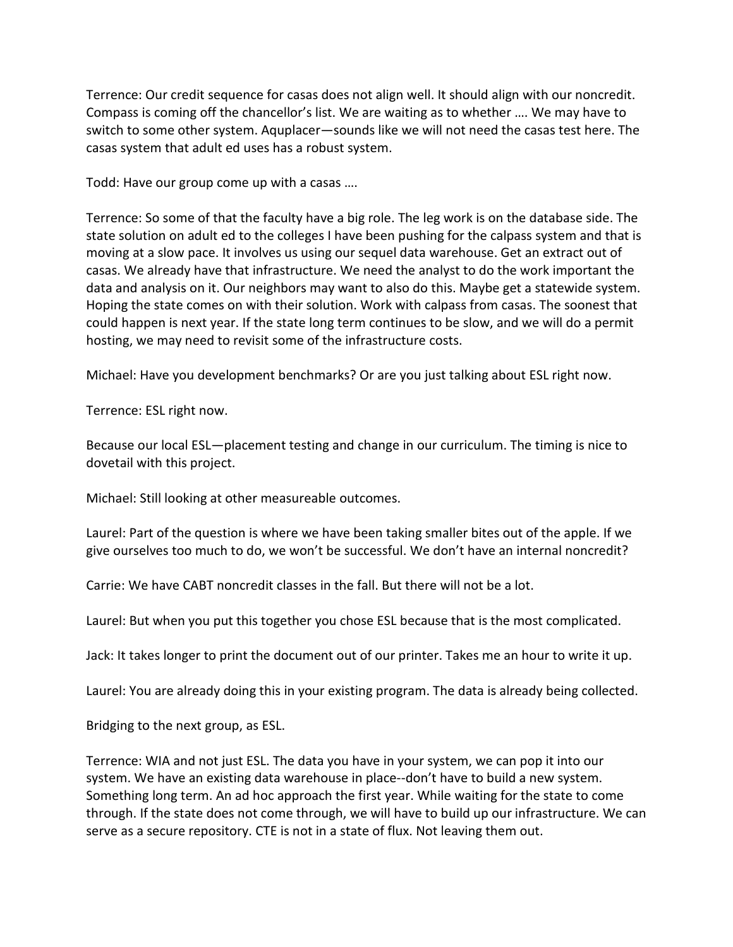Terrence: Our credit sequence for casas does not align well. It should align with our noncredit. Compass is coming off the chancellor's list. We are waiting as to whether …. We may have to switch to some other system. Aquplacer—sounds like we will not need the casas test here. The casas system that adult ed uses has a robust system.

Todd: Have our group come up with a casas ….

Terrence: So some of that the faculty have a big role. The leg work is on the database side. The state solution on adult ed to the colleges I have been pushing for the calpass system and that is moving at a slow pace. It involves us using our sequel data warehouse. Get an extract out of casas. We already have that infrastructure. We need the analyst to do the work important the data and analysis on it. Our neighbors may want to also do this. Maybe get a statewide system. Hoping the state comes on with their solution. Work with calpass from casas. The soonest that could happen is next year. If the state long term continues to be slow, and we will do a permit hosting, we may need to revisit some of the infrastructure costs.

Michael: Have you development benchmarks? Or are you just talking about ESL right now.

Terrence: ESL right now.

Because our local ESL—placement testing and change in our curriculum. The timing is nice to dovetail with this project.

Michael: Still looking at other measureable outcomes.

Laurel: Part of the question is where we have been taking smaller bites out of the apple. If we give ourselves too much to do, we won't be successful. We don't have an internal noncredit?

Carrie: We have CABT noncredit classes in the fall. But there will not be a lot.

Laurel: But when you put this together you chose ESL because that is the most complicated.

Jack: It takes longer to print the document out of our printer. Takes me an hour to write it up.

Laurel: You are already doing this in your existing program. The data is already being collected.

Bridging to the next group, as ESL.

Terrence: WIA and not just ESL. The data you have in your system, we can pop it into our system. We have an existing data warehouse in place--don't have to build a new system. Something long term. An ad hoc approach the first year. While waiting for the state to come through. If the state does not come through, we will have to build up our infrastructure. We can serve as a secure repository. CTE is not in a state of flux. Not leaving them out.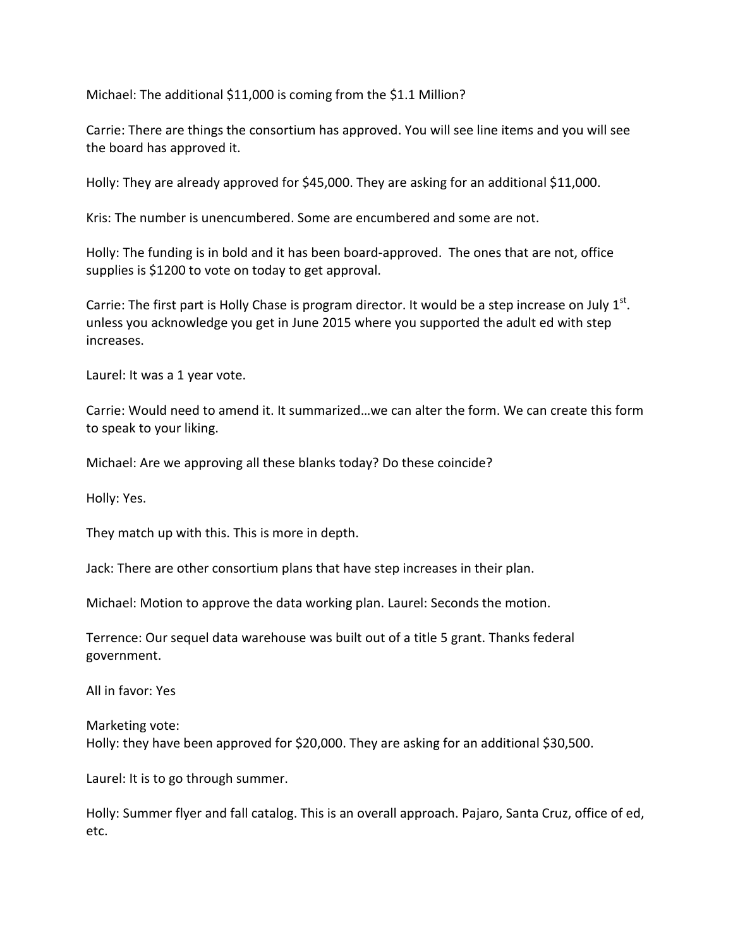Michael: The additional \$11,000 is coming from the \$1.1 Million?

Carrie: There are things the consortium has approved. You will see line items and you will see the board has approved it.

Holly: They are already approved for \$45,000. They are asking for an additional \$11,000.

Kris: The number is unencumbered. Some are encumbered and some are not.

Holly: The funding is in bold and it has been board-approved. The ones that are not, office supplies is \$1200 to vote on today to get approval.

Carrie: The first part is Holly Chase is program director. It would be a step increase on July  $1<sup>st</sup>$ . unless you acknowledge you get in June 2015 where you supported the adult ed with step increases.

Laurel: It was a 1 year vote.

Carrie: Would need to amend it. It summarized…we can alter the form. We can create this form to speak to your liking.

Michael: Are we approving all these blanks today? Do these coincide?

Holly: Yes.

They match up with this. This is more in depth.

Jack: There are other consortium plans that have step increases in their plan.

Michael: Motion to approve the data working plan. Laurel: Seconds the motion.

Terrence: Our sequel data warehouse was built out of a title 5 grant. Thanks federal government.

All in favor: Yes

Marketing vote: Holly: they have been approved for \$20,000. They are asking for an additional \$30,500.

Laurel: It is to go through summer.

Holly: Summer flyer and fall catalog. This is an overall approach. Pajaro, Santa Cruz, office of ed, etc.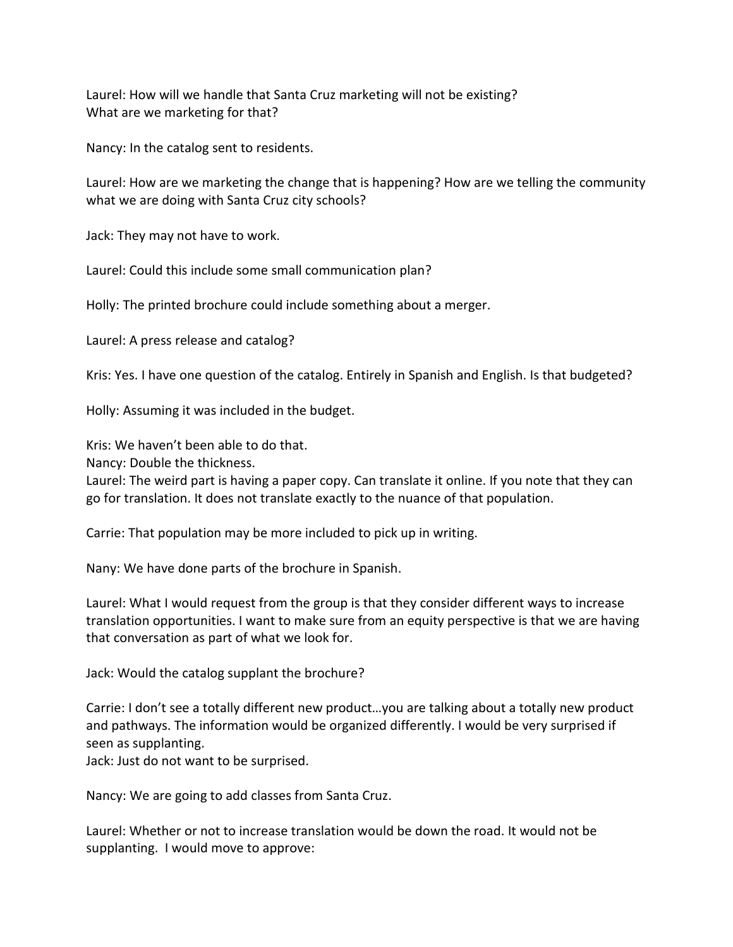Laurel: How will we handle that Santa Cruz marketing will not be existing? What are we marketing for that?

Nancy: In the catalog sent to residents.

Laurel: How are we marketing the change that is happening? How are we telling the community what we are doing with Santa Cruz city schools?

Jack: They may not have to work.

Laurel: Could this include some small communication plan?

Holly: The printed brochure could include something about a merger.

Laurel: A press release and catalog?

Kris: Yes. I have one question of the catalog. Entirely in Spanish and English. Is that budgeted?

Holly: Assuming it was included in the budget.

Kris: We haven't been able to do that.

Nancy: Double the thickness.

Laurel: The weird part is having a paper copy. Can translate it online. If you note that they can go for translation. It does not translate exactly to the nuance of that population.

Carrie: That population may be more included to pick up in writing.

Nany: We have done parts of the brochure in Spanish.

Laurel: What I would request from the group is that they consider different ways to increase translation opportunities. I want to make sure from an equity perspective is that we are having that conversation as part of what we look for.

Jack: Would the catalog supplant the brochure?

Carrie: I don't see a totally different new product…you are talking about a totally new product and pathways. The information would be organized differently. I would be very surprised if seen as supplanting.

Jack: Just do not want to be surprised.

Nancy: We are going to add classes from Santa Cruz.

Laurel: Whether or not to increase translation would be down the road. It would not be supplanting. I would move to approve: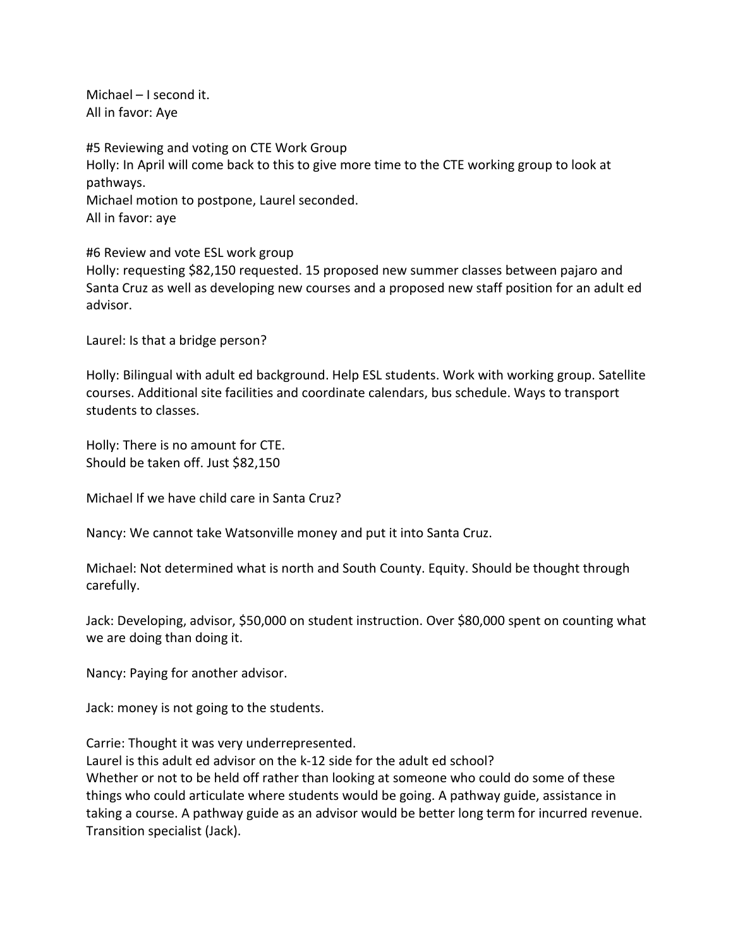Michael – I second it. All in favor: Aye

#5 Reviewing and voting on CTE Work Group Holly: In April will come back to this to give more time to the CTE working group to look at pathways. Michael motion to postpone, Laurel seconded. All in favor: aye

#6 Review and vote ESL work group

Holly: requesting \$82,150 requested. 15 proposed new summer classes between pajaro and Santa Cruz as well as developing new courses and a proposed new staff position for an adult ed advisor.

Laurel: Is that a bridge person?

Holly: Bilingual with adult ed background. Help ESL students. Work with working group. Satellite courses. Additional site facilities and coordinate calendars, bus schedule. Ways to transport students to classes.

Holly: There is no amount for CTE. Should be taken off. Just \$82,150

Michael If we have child care in Santa Cruz?

Nancy: We cannot take Watsonville money and put it into Santa Cruz.

Michael: Not determined what is north and South County. Equity. Should be thought through carefully.

Jack: Developing, advisor, \$50,000 on student instruction. Over \$80,000 spent on counting what we are doing than doing it.

Nancy: Paying for another advisor.

Jack: money is not going to the students.

Carrie: Thought it was very underrepresented. Laurel is this adult ed advisor on the k-12 side for the adult ed school?

Whether or not to be held off rather than looking at someone who could do some of these things who could articulate where students would be going. A pathway guide, assistance in taking a course. A pathway guide as an advisor would be better long term for incurred revenue. Transition specialist (Jack).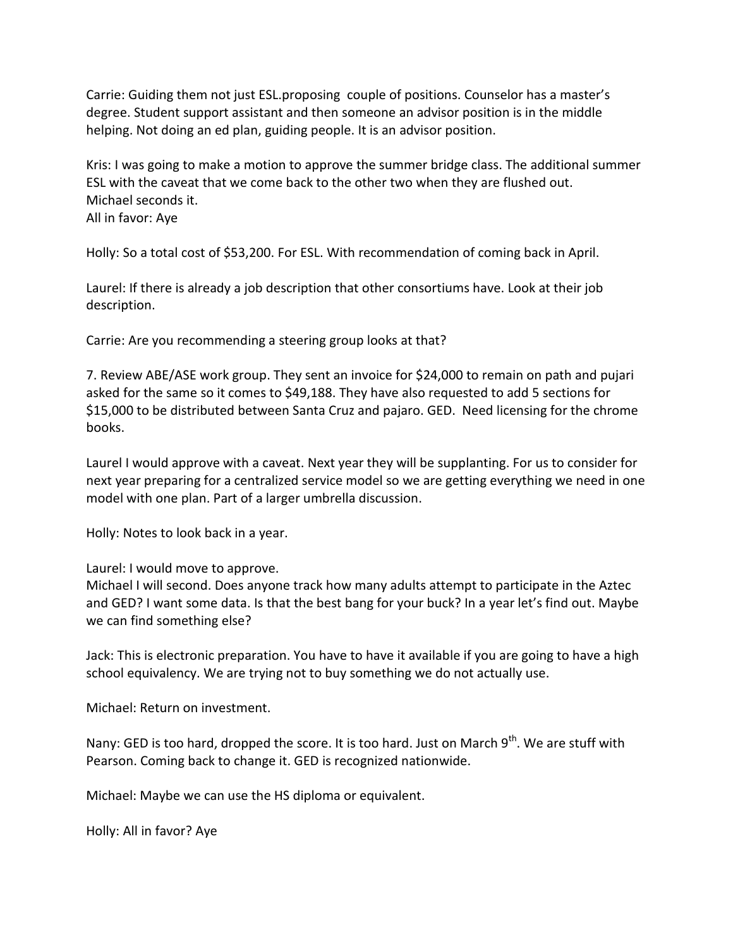Carrie: Guiding them not just ESL.proposing couple of positions. Counselor has a master's degree. Student support assistant and then someone an advisor position is in the middle helping. Not doing an ed plan, guiding people. It is an advisor position.

Kris: I was going to make a motion to approve the summer bridge class. The additional summer ESL with the caveat that we come back to the other two when they are flushed out. Michael seconds it. All in favor: Aye

Holly: So a total cost of \$53,200. For ESL. With recommendation of coming back in April.

Laurel: If there is already a job description that other consortiums have. Look at their job description.

Carrie: Are you recommending a steering group looks at that?

7. Review ABE/ASE work group. They sent an invoice for \$24,000 to remain on path and pujari asked for the same so it comes to \$49,188. They have also requested to add 5 sections for \$15,000 to be distributed between Santa Cruz and pajaro. GED. Need licensing for the chrome books.

Laurel I would approve with a caveat. Next year they will be supplanting. For us to consider for next year preparing for a centralized service model so we are getting everything we need in one model with one plan. Part of a larger umbrella discussion.

Holly: Notes to look back in a year.

Laurel: I would move to approve.

Michael I will second. Does anyone track how many adults attempt to participate in the Aztec and GED? I want some data. Is that the best bang for your buck? In a year let's find out. Maybe we can find something else?

Jack: This is electronic preparation. You have to have it available if you are going to have a high school equivalency. We are trying not to buy something we do not actually use.

Michael: Return on investment.

Nany: GED is too hard, dropped the score. It is too hard. Just on March  $9<sup>th</sup>$ . We are stuff with Pearson. Coming back to change it. GED is recognized nationwide.

Michael: Maybe we can use the HS diploma or equivalent.

Holly: All in favor? Aye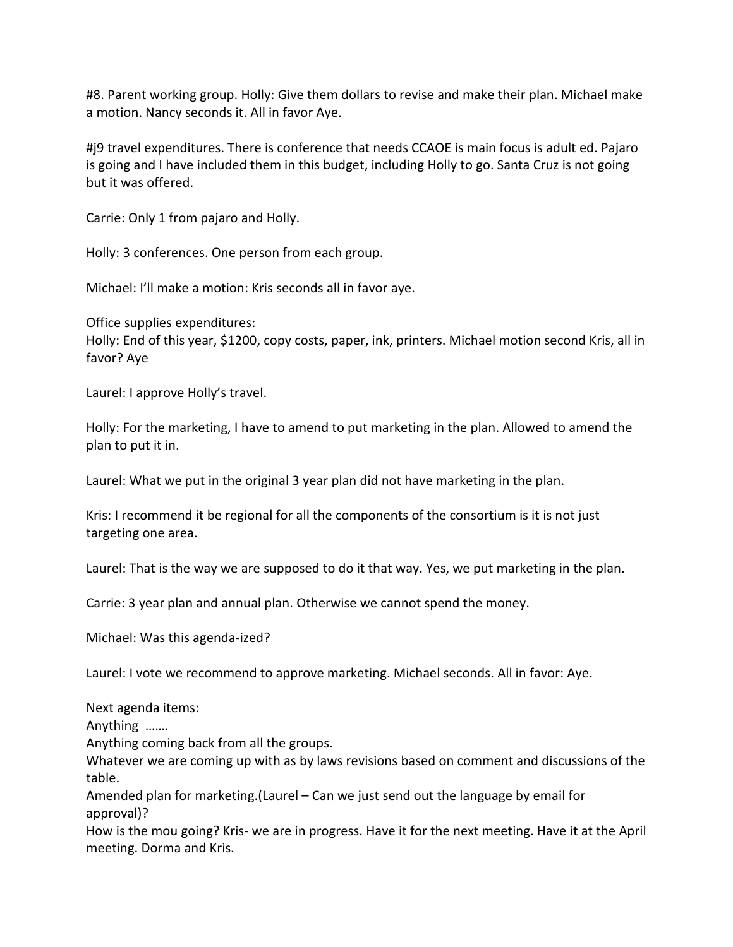#8. Parent working group. Holly: Give them dollars to revise and make their plan. Michael make a motion. Nancy seconds it. All in favor Aye.

#j9 travel expenditures. There is conference that needs CCAOE is main focus is adult ed. Pajaro is going and I have included them in this budget, including Holly to go. Santa Cruz is not going but it was offered.

Carrie: Only 1 from pajaro and Holly.

Holly: 3 conferences. One person from each group.

Michael: I'll make a motion: Kris seconds all in favor aye.

Office supplies expenditures: Holly: End of this year, \$1200, copy costs, paper, ink, printers. Michael motion second Kris, all in favor? Aye

Laurel: I approve Holly's travel.

Holly: For the marketing, I have to amend to put marketing in the plan. Allowed to amend the plan to put it in.

Laurel: What we put in the original 3 year plan did not have marketing in the plan.

Kris: I recommend it be regional for all the components of the consortium is it is not just targeting one area.

Laurel: That is the way we are supposed to do it that way. Yes, we put marketing in the plan.

Carrie: 3 year plan and annual plan. Otherwise we cannot spend the money.

Michael: Was this agenda-ized?

Laurel: I vote we recommend to approve marketing. Michael seconds. All in favor: Aye.

Next agenda items:

Anything …….

Anything coming back from all the groups.

Whatever we are coming up with as by laws revisions based on comment and discussions of the table.

Amended plan for marketing.(Laurel – Can we just send out the language by email for approval)?

How is the mou going? Kris- we are in progress. Have it for the next meeting. Have it at the April meeting. Dorma and Kris.